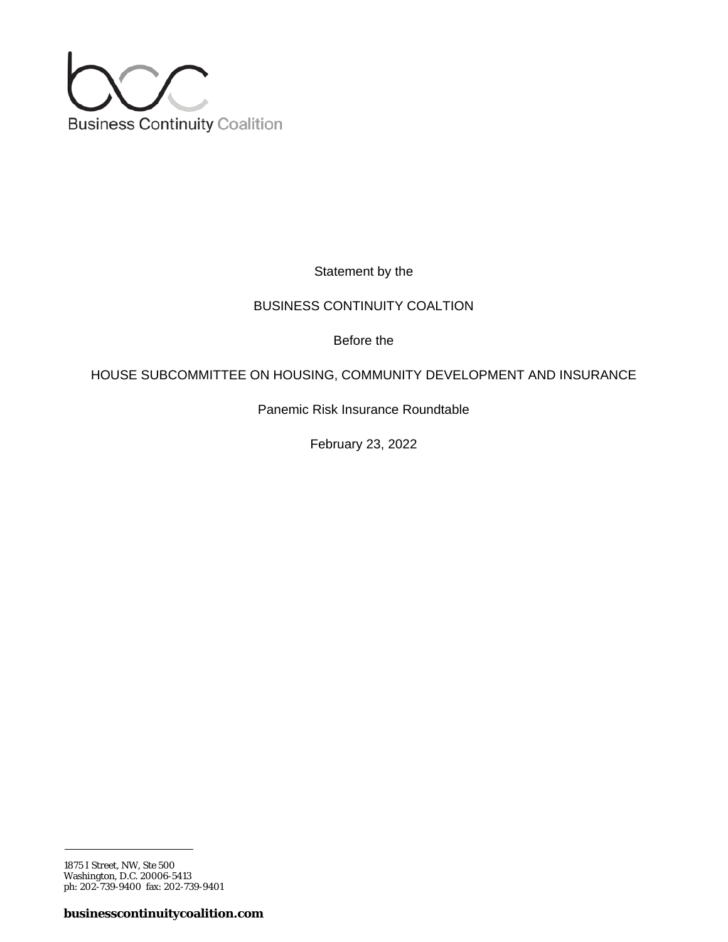

Statement by the

## BUSINESS CONTINUITY COALTION

Before the

# HOUSE SUBCOMMITTEE ON HOUSING, COMMUNITY DEVELOPMENT AND INSURANCE

Panemic Risk Insurance Roundtable

February 23, 2022

<sup>1875</sup> I Street, NW, Ste 500 Washington, D.C. 20006-5413 ph: 202-739-9400 fax: 202-739-9401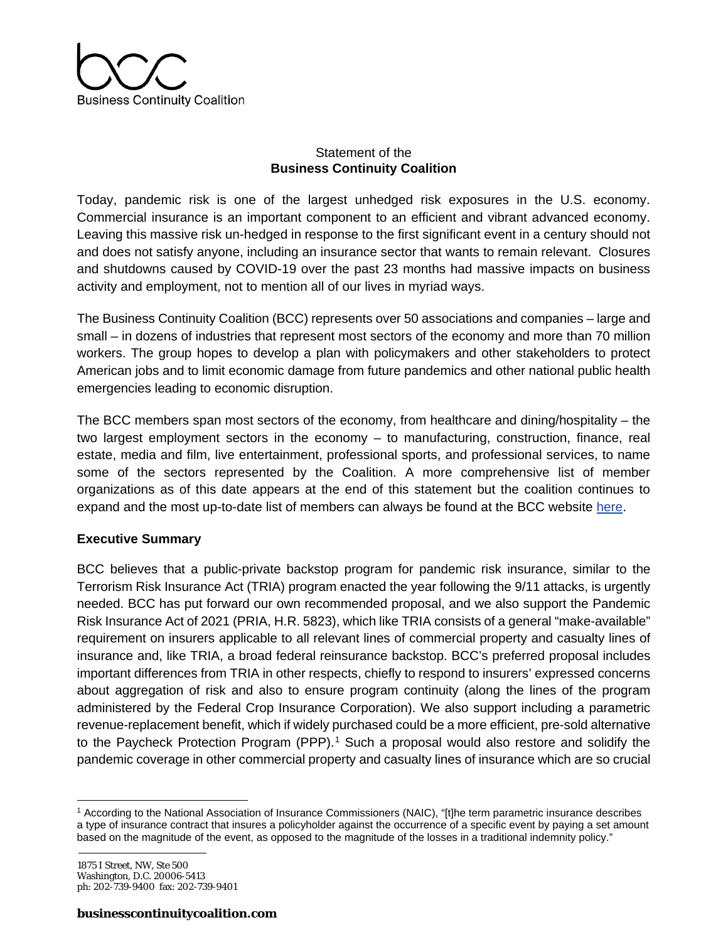

## Statement of the **Business Continuity Coalition**

Today, pandemic risk is one of the largest unhedged risk exposures in the U.S. economy. Commercial insurance is an important component to an efficient and vibrant advanced economy. Leaving this massive risk un-hedged in response to the first significant event in a century should not and does not satisfy anyone, including an insurance sector that wants to remain relevant. Closures and shutdowns caused by COVID-19 over the past 23 months had massive impacts on business activity and employment, not to mention all of our lives in myriad ways.

The Business Continuity Coalition (BCC) represents over 50 associations and companies – large and small – in dozens of industries that represent most sectors of the economy and more than 70 million workers. The group hopes to develop a plan with policymakers and other stakeholders to protect American jobs and to limit economic damage from future pandemics and other national public health emergencies leading to economic disruption.

The BCC members span most sectors of the economy, from healthcare and dining/hospitality – the two largest employment sectors in the economy – to manufacturing, construction, finance, real estate, media and film, live entertainment, professional sports, and professional services, to name some of the sectors represented by the Coalition. A more comprehensive list of member organizations as of this date appears at the end of this statement but the coalition continues to expand and the most up-to-date list of members can always be found at the BCC website [here.](https://www.businesscontinuitycoalition.com/members)

### **Executive Summary**

BCC believes that a public-private backstop program for pandemic risk insurance, similar to the Terrorism Risk Insurance Act (TRIA) program enacted the year following the 9/11 attacks, is urgently needed. BCC has put forward our own recommended proposal, and we also support the Pandemic Risk Insurance Act of 2021 (PRIA, H.R. 5823), which like TRIA consists of a general "make-available" requirement on insurers applicable to all relevant lines of commercial property and casualty lines of insurance and, like TRIA, a broad federal reinsurance backstop. BCC's preferred proposal includes important differences from TRIA in other respects, chiefly to respond to insurers' expressed concerns about aggregation of risk and also to ensure program continuity (along the lines of the program administered by the Federal Crop Insurance Corporation). We also support including a parametric revenue-replacement benefit, which if widely purchased could be a more efficient, pre-sold alternative to the Paycheck Protection Program (PPP).<sup>[1](#page-1-0)</sup> Such a proposal would also restore and solidify the pandemic coverage in other commercial property and casualty lines of insurance which are so crucial

<span id="page-1-0"></span><sup>1</sup> According to the National Association of Insurance Commissioners (NAIC), "[t]he term parametric insurance describes a type of insurance contract that insures a policyholder against the occurrence of a specific event by paying a set amount based on the magnitude of the event, as opposed to the magnitude of the losses in a traditional indemnity policy."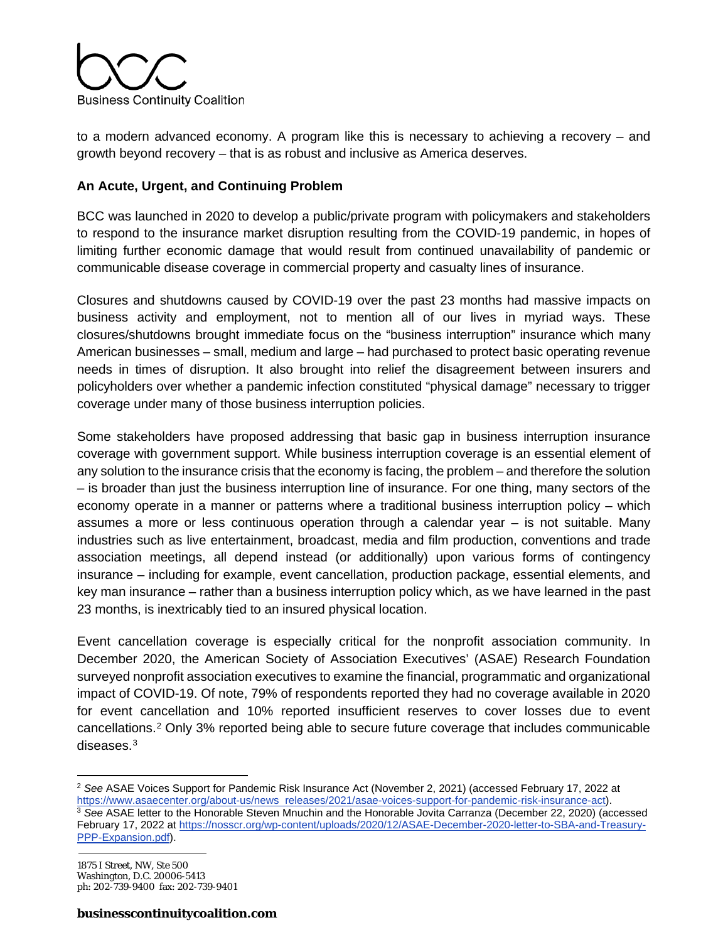

to a modern advanced economy. A program like this is necessary to achieving a recovery – and growth beyond recovery – that is as robust and inclusive as America deserves.

### **An Acute, Urgent, and Continuing Problem**

BCC was launched in 2020 to develop a public/private program with policymakers and stakeholders to respond to the insurance market disruption resulting from the COVID-19 pandemic, in hopes of limiting further economic damage that would result from continued unavailability of pandemic or communicable disease coverage in commercial property and casualty lines of insurance.

Closures and shutdowns caused by COVID-19 over the past 23 months had massive impacts on business activity and employment, not to mention all of our lives in myriad ways. These closures/shutdowns brought immediate focus on the "business interruption" insurance which many American businesses – small, medium and large – had purchased to protect basic operating revenue needs in times of disruption. It also brought into relief the disagreement between insurers and policyholders over whether a pandemic infection constituted "physical damage" necessary to trigger coverage under many of those business interruption policies.

Some stakeholders have proposed addressing that basic gap in business interruption insurance coverage with government support. While business interruption coverage is an essential element of any solution to the insurance crisis that the economy is facing, the problem – and therefore the solution – is broader than just the business interruption line of insurance. For one thing, many sectors of the economy operate in a manner or patterns where a traditional business interruption policy – which assumes a more or less continuous operation through a calendar year – is not suitable. Many industries such as live entertainment, broadcast, media and film production, conventions and trade association meetings, all depend instead (or additionally) upon various forms of contingency insurance – including for example, event cancellation, production package, essential elements, and key man insurance – rather than a business interruption policy which, as we have learned in the past 23 months, is inextricably tied to an insured physical location.

Event cancellation coverage is especially critical for the nonprofit association community. In December 2020, the American Society of Association Executives' (ASAE) Research Foundation surveyed nonprofit association executives to examine the financial, programmatic and organizational impact of COVID-19. Of note, 79% of respondents reported they had no coverage available in 2020 for event cancellation and 10% reported insufficient reserves to cover losses due to event cancellations.[2](#page-2-0) Only 3% reported being able to secure future coverage that includes communicable diseases.<sup>[3](#page-2-1)</sup>

<span id="page-2-0"></span><sup>2</sup> *See* ASAE Voices Support for Pandemic Risk Insurance Act (November 2, 2021) (accessed February 17, 2022 at [https://www.asaecenter.org/about-us/news releases/2021/asae-voices-support-for-pandemic-risk-insurance-act\)](https://www.asaecenter.org/about-us/news_releases/2021/asae-voices-support-for-pandemic-risk-insurance-act).<br><sup>3</sup> See ASAE letter to the Honorable Steven Mnuchin and the Honorable Jovita Carranza (December 22, 2020) (access

<span id="page-2-1"></span>February 17, 2022 at [https://nosscr.org/wp-content/uploads/2020/12/ASAE-December-2020-letter-to-SBA-and-Treasury-](https://nosscr.org/wp-content/uploads/2020/12/ASAE-December-2020-letter-to-SBA-and-Treasury-PPP-Expansion.pdf)[PPP-Expansion.pdf\)](https://nosscr.org/wp-content/uploads/2020/12/ASAE-December-2020-letter-to-SBA-and-Treasury-PPP-Expansion.pdf).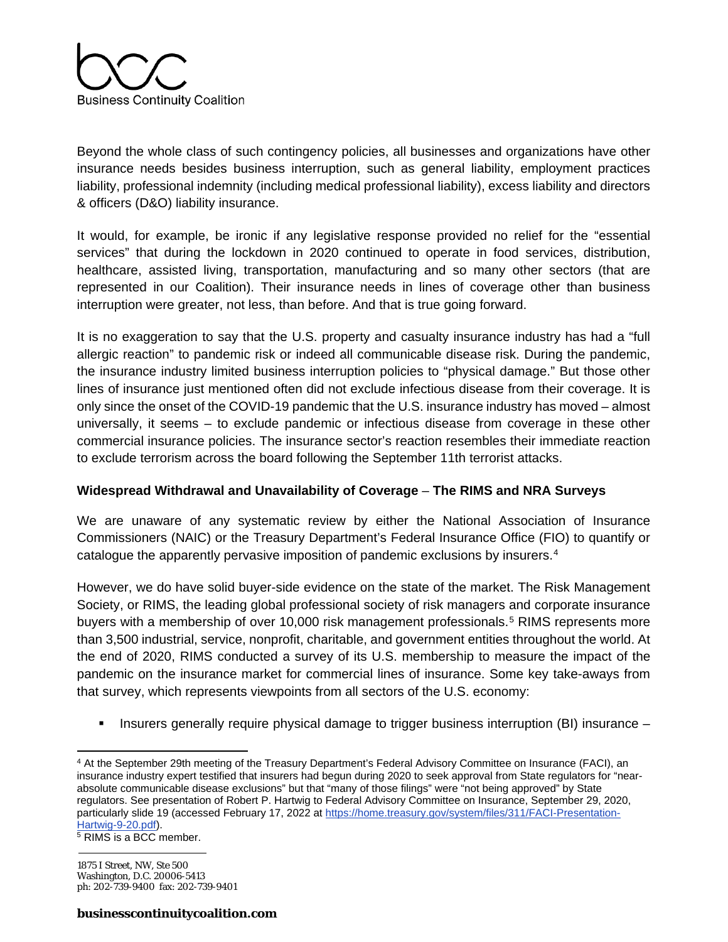

Beyond the whole class of such contingency policies, all businesses and organizations have other insurance needs besides business interruption, such as general liability, employment practices liability, professional indemnity (including medical professional liability), excess liability and directors & officers (D&O) liability insurance.

It would, for example, be ironic if any legislative response provided no relief for the "essential services" that during the lockdown in 2020 continued to operate in food services, distribution, healthcare, assisted living, transportation, manufacturing and so many other sectors (that are represented in our Coalition). Their insurance needs in lines of coverage other than business interruption were greater, not less, than before. And that is true going forward.

It is no exaggeration to say that the U.S. property and casualty insurance industry has had a "full allergic reaction" to pandemic risk or indeed all communicable disease risk. During the pandemic, the insurance industry limited business interruption policies to "physical damage." But those other lines of insurance just mentioned often did not exclude infectious disease from their coverage. It is only since the onset of the COVID-19 pandemic that the U.S. insurance industry has moved – almost universally, it seems – to exclude pandemic or infectious disease from coverage in these other commercial insurance policies. The insurance sector's reaction resembles their immediate reaction to exclude terrorism across the board following the September 11th terrorist attacks.

### **Widespread Withdrawal and Unavailability of Coverage** – **The RIMS and NRA Surveys**

We are unaware of any systematic review by either the National Association of Insurance Commissioners (NAIC) or the Treasury Department's Federal Insurance Office (FIO) to quantify or catalogue the apparently pervasive imposition of pandemic exclusions by insurers.<sup>[4](#page-3-0)</sup>

However, we do have solid buyer-side evidence on the state of the market. The Risk Management Society, or RIMS, the leading global professional society of risk managers and corporate insurance buyers with a membership of over 10,000 risk management professionals.<sup>[5](#page-3-1)</sup> RIMS represents more than 3,500 industrial, service, nonprofit, charitable, and government entities throughout the world. At the end of 2020, RIMS conducted a survey of its U.S. membership to measure the impact of the pandemic on the insurance market for commercial lines of insurance. Some key take-aways from that survey, which represents viewpoints from all sectors of the U.S. economy:

Insurers generally require physical damage to trigger business interruption (BI) insurance –

<span id="page-3-0"></span><sup>4</sup> At the September 29th meeting of the Treasury Department's Federal Advisory Committee on Insurance (FACI), an insurance industry expert testified that insurers had begun during 2020 to seek approval from State regulators for "nearabsolute communicable disease exclusions" but that "many of those filings" were "not being approved" by State regulators. See presentation of Robert P. Hartwig to Federal Advisory Committee on Insurance, September 29, 2020, particularly slide 19 (accessed February 17, 2022 at [https://home.treasury.gov/system/files/311/FACI-Presentation-](https://home.treasury.gov/system/files/311/FACI-Presentation-Hartwig-9-20.pdf)[Hartwig-9-20.pdf\)](https://home.treasury.gov/system/files/311/FACI-Presentation-Hartwig-9-20.pdf).

<span id="page-3-1"></span><sup>&</sup>lt;sup>5</sup> RIMS is a BCC member.

<sup>1875</sup> I Street, NW, Ste 500 Washington, D.C. 20006-5413 ph: 202-739-9400 fax: 202-739-9401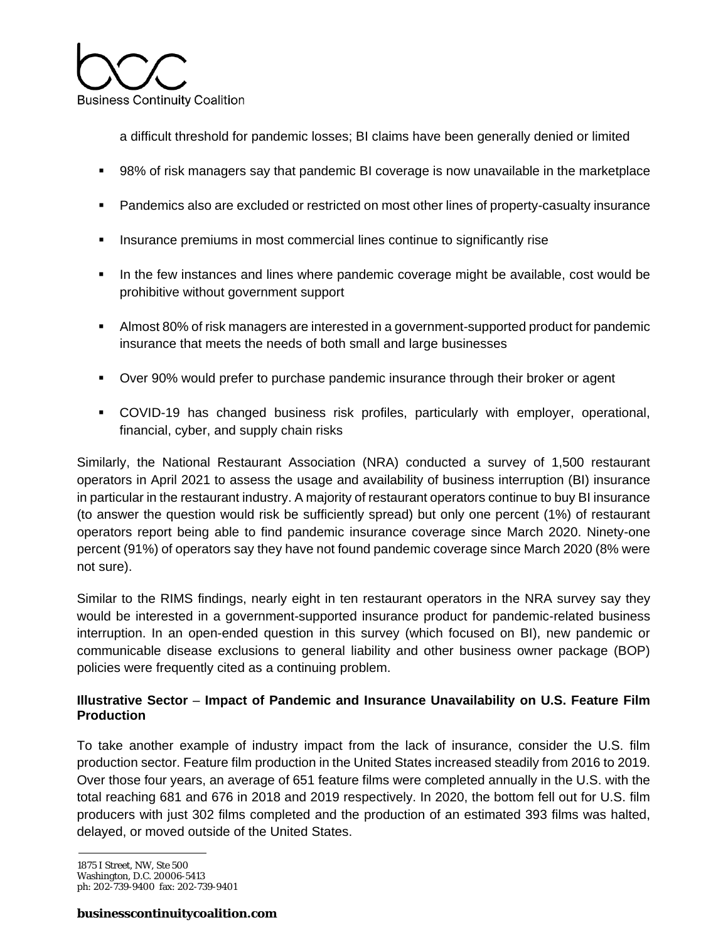

a difficult threshold for pandemic losses; BI claims have been generally denied or limited

- 98% of risk managers say that pandemic BI coverage is now unavailable in the marketplace
- Pandemics also are excluded or restricted on most other lines of property-casualty insurance
- **Insurance premiums in most commercial lines continue to significantly rise**
- In the few instances and lines where pandemic coverage might be available, cost would be prohibitive without government support
- Almost 80% of risk managers are interested in a government-supported product for pandemic insurance that meets the needs of both small and large businesses
- Over 90% would prefer to purchase pandemic insurance through their broker or agent
- COVID-19 has changed business risk profiles, particularly with employer, operational, financial, cyber, and supply chain risks

Similarly, the National Restaurant Association (NRA) conducted a survey of 1,500 restaurant operators in April 2021 to assess the usage and availability of business interruption (BI) insurance in particular in the restaurant industry. A majority of restaurant operators continue to buy BI insurance (to answer the question would risk be sufficiently spread) but only one percent (1%) of restaurant operators report being able to find pandemic insurance coverage since March 2020. Ninety-one percent (91%) of operators say they have not found pandemic coverage since March 2020 (8% were not sure).

Similar to the RIMS findings, nearly eight in ten restaurant operators in the NRA survey say they would be interested in a government-supported insurance product for pandemic-related business interruption. In an open-ended question in this survey (which focused on BI), new pandemic or communicable disease exclusions to general liability and other business owner package (BOP) policies were frequently cited as a continuing problem.

## **Illustrative Sector** – **Impact of Pandemic and Insurance Unavailability on U.S. Feature Film Production**

To take another example of industry impact from the lack of insurance, consider the U.S. film production sector. Feature film production in the United States increased steadily from 2016 to 2019. Over those four years, an average of 651 feature films were completed annually in the U.S. with the total reaching 681 and 676 in 2018 and 2019 respectively. In 2020, the bottom fell out for U.S. film producers with just 302 films completed and the production of an estimated 393 films was halted, delayed, or moved outside of the United States.

1875 I Street, NW, Ste 500 Washington, D.C. 20006-5413 ph: 202-739-9400 fax: 202-739-9401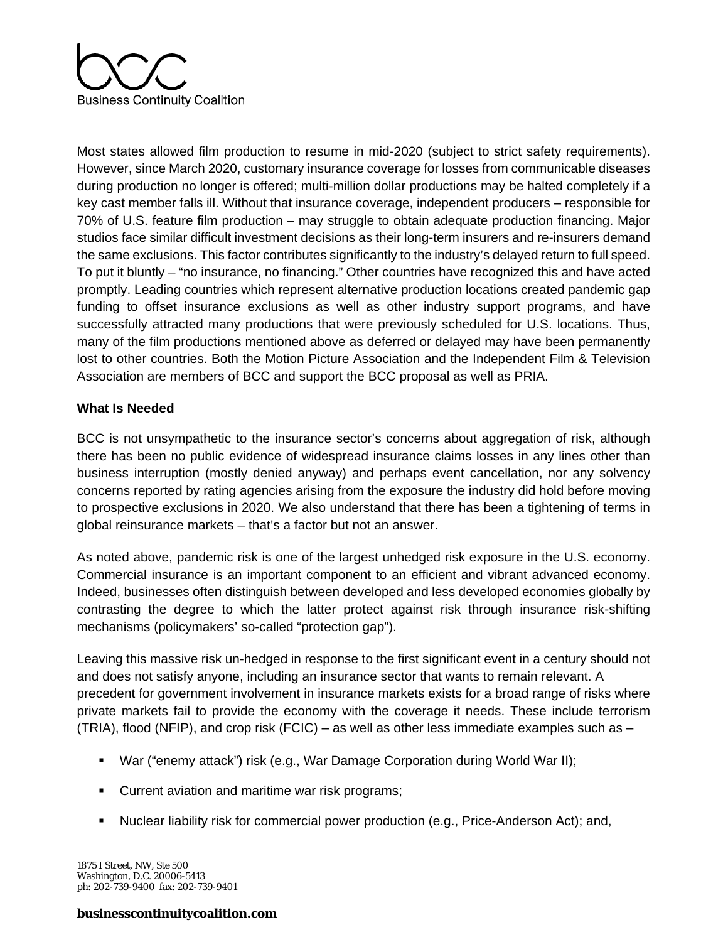

Most states allowed film production to resume in mid-2020 (subject to strict safety requirements). However, since March 2020, customary insurance coverage for losses from communicable diseases during production no longer is offered; multi-million dollar productions may be halted completely if a key cast member falls ill. Without that insurance coverage, independent producers – responsible for 70% of U.S. feature film production – may struggle to obtain adequate production financing. Major studios face similar difficult investment decisions as their long-term insurers and re-insurers demand the same exclusions. This factor contributes significantly to the industry's delayed return to full speed. To put it bluntly – "no insurance, no financing." Other countries have recognized this and have acted promptly. Leading countries which represent alternative production locations created pandemic gap funding to offset insurance exclusions as well as other industry support programs, and have successfully attracted many productions that were previously scheduled for U.S. locations. Thus, many of the film productions mentioned above as deferred or delayed may have been permanently lost to other countries. Both the Motion Picture Association and the Independent Film & Television Association are members of BCC and support the BCC proposal as well as PRIA.

### **What Is Needed**

BCC is not unsympathetic to the insurance sector's concerns about aggregation of risk, although there has been no public evidence of widespread insurance claims losses in any lines other than business interruption (mostly denied anyway) and perhaps event cancellation, nor any solvency concerns reported by rating agencies arising from the exposure the industry did hold before moving to prospective exclusions in 2020. We also understand that there has been a tightening of terms in global reinsurance markets – that's a factor but not an answer.

As noted above, pandemic risk is one of the largest unhedged risk exposure in the U.S. economy. Commercial insurance is an important component to an efficient and vibrant advanced economy. Indeed, businesses often distinguish between developed and less developed economies globally by contrasting the degree to which the latter protect against risk through insurance risk-shifting mechanisms (policymakers' so-called "protection gap").

Leaving this massive risk un-hedged in response to the first significant event in a century should not and does not satisfy anyone, including an insurance sector that wants to remain relevant. A precedent for government involvement in insurance markets exists for a broad range of risks where private markets fail to provide the economy with the coverage it needs. These include terrorism (TRIA), flood (NFIP), and crop risk (FCIC) – as well as other less immediate examples such as –

- War ("enemy attack") risk (e.g., War Damage Corporation during World War II);
- **Current aviation and maritime war risk programs;**
- Nuclear liability risk for commercial power production (e.g., Price-Anderson Act); and,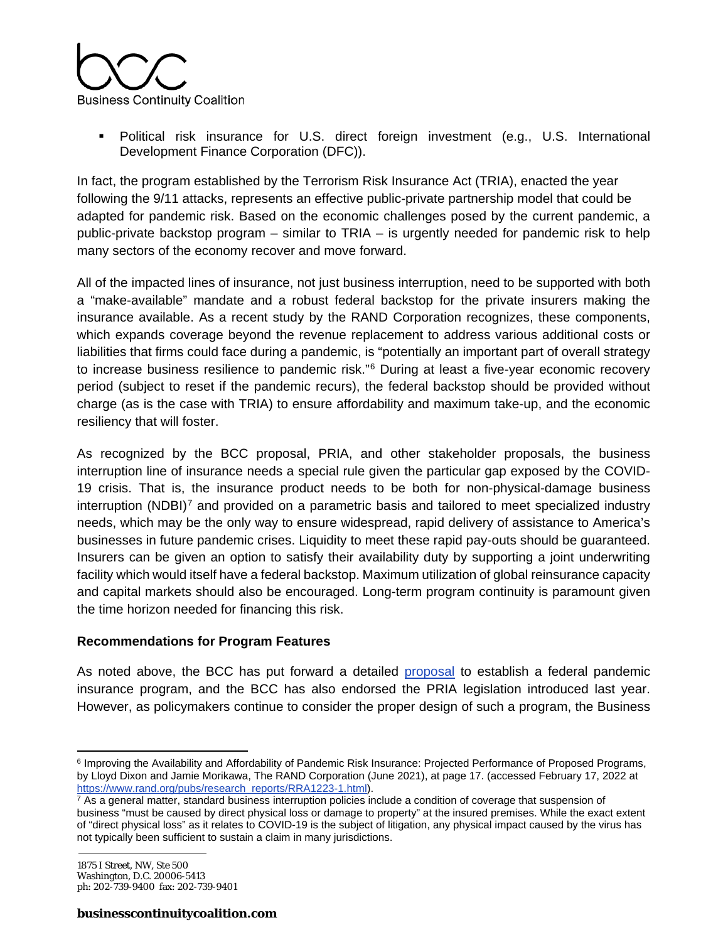

 Political risk insurance for U.S. direct foreign investment (e.g., U.S. International Development Finance Corporation (DFC)).

In fact, the program established by the Terrorism Risk Insurance Act (TRIA), enacted the year following the 9/11 attacks, represents an effective public-private partnership model that could be adapted for pandemic risk. Based on the economic challenges posed by the current pandemic, a public-private backstop program – similar to TRIA – is urgently needed for pandemic risk to help many sectors of the economy recover and move forward.

All of the impacted lines of insurance, not just business interruption, need to be supported with both a "make-available" mandate and a robust federal backstop for the private insurers making the insurance available. As a recent study by the RAND Corporation recognizes, these components, which expands coverage beyond the revenue replacement to address various additional costs or liabilities that firms could face during a pandemic, is "potentially an important part of overall strategy to increase business resilience to pandemic risk."[6](#page-6-0) During at least a five-year economic recovery period (subject to reset if the pandemic recurs), the federal backstop should be provided without charge (as is the case with TRIA) to ensure affordability and maximum take-up, and the economic resiliency that will foster.

As recognized by the BCC proposal, PRIA, and other stakeholder proposals, the business interruption line of insurance needs a special rule given the particular gap exposed by the COVID-19 crisis. That is, the insurance product needs to be both for non-physical-damage business interruption (NDBI) $<sup>7</sup>$  $<sup>7</sup>$  $<sup>7</sup>$  and provided on a parametric basis and tailored to meet specialized industry</sup> needs, which may be the only way to ensure widespread, rapid delivery of assistance to America's businesses in future pandemic crises. Liquidity to meet these rapid pay-outs should be guaranteed. Insurers can be given an option to satisfy their availability duty by supporting a joint underwriting facility which would itself have a federal backstop. Maximum utilization of global reinsurance capacity and capital markets should also be encouraged. Long-term program continuity is paramount given the time horizon needed for financing this risk.

### **Recommendations for Program Features**

As noted above, the BCC has put forward a detailed [proposal](https://www.businesscontinuitycoalition.com/recommended-proposal) to establish a federal pandemic insurance program, and the BCC has also endorsed the PRIA legislation introduced last year. However, as policymakers continue to consider the proper design of such a program, the Business

<span id="page-6-0"></span><sup>&</sup>lt;sup>6</sup> Improving the Availability and Affordability of Pandemic Risk Insurance: Projected Performance of Proposed Programs, by Lloyd Dixon and Jamie Morikawa, The RAND Corporation (June 2021), at page 17. (accessed February 17, 2022 at [https://www.rand.org/pubs/research reports/RRA1223-1.html\)](https://www.rand.org/pubs/research_reports/RRA1223-1.html).<br><sup>7</sup> As a general matter, standard business interruption policies include a condition of coverage that suspension of

<span id="page-6-1"></span>business "must be caused by direct physical loss or damage to property" at the insured premises. While the exact extent of "direct physical loss" as it relates to COVID-19 is the subject of litigation, any physical impact caused by the virus has not typically been sufficient to sustain a claim in many jurisdictions.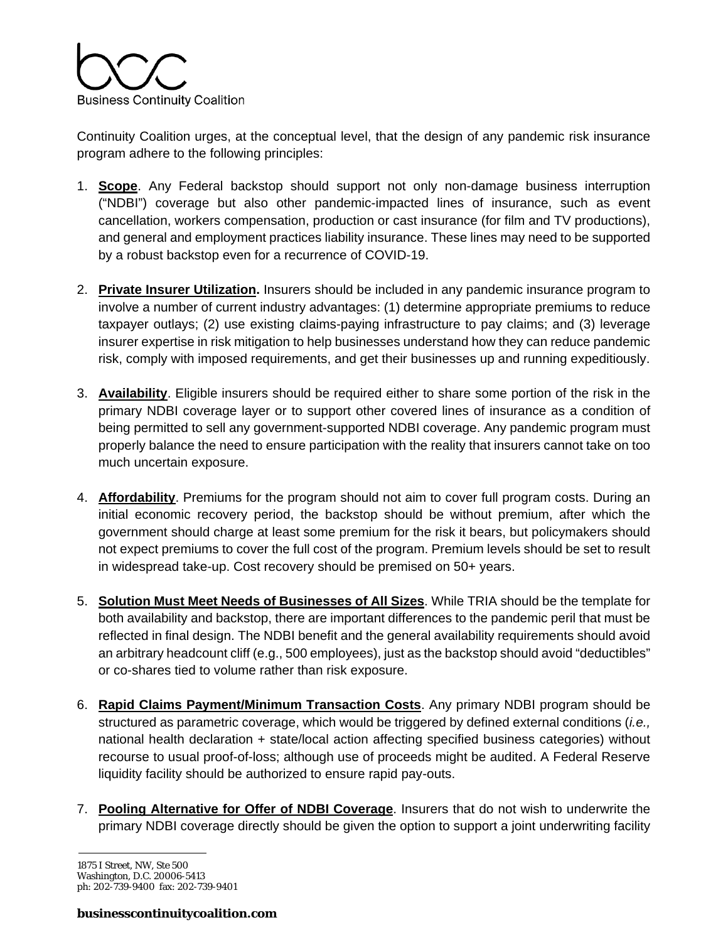

Continuity Coalition urges, at the conceptual level, that the design of any pandemic risk insurance program adhere to the following principles:

- 1. **Scope**. Any Federal backstop should support not only non-damage business interruption ("NDBI") coverage but also other pandemic-impacted lines of insurance, such as event cancellation, workers compensation, production or cast insurance (for film and TV productions), and general and employment practices liability insurance. These lines may need to be supported by a robust backstop even for a recurrence of COVID-19.
- 2. **Private Insurer Utilization.** Insurers should be included in any pandemic insurance program to involve a number of current industry advantages: (1) determine appropriate premiums to reduce taxpayer outlays; (2) use existing claims-paying infrastructure to pay claims; and (3) leverage insurer expertise in risk mitigation to help businesses understand how they can reduce pandemic risk, comply with imposed requirements, and get their businesses up and running expeditiously.
- 3. **Availability**. Eligible insurers should be required either to share some portion of the risk in the primary NDBI coverage layer or to support other covered lines of insurance as a condition of being permitted to sell any government-supported NDBI coverage. Any pandemic program must properly balance the need to ensure participation with the reality that insurers cannot take on too much uncertain exposure.
- 4. **Affordability**. Premiums for the program should not aim to cover full program costs. During an initial economic recovery period, the backstop should be without premium, after which the government should charge at least some premium for the risk it bears, but policymakers should not expect premiums to cover the full cost of the program. Premium levels should be set to result in widespread take-up. Cost recovery should be premised on 50+ years.
- 5. **Solution Must Meet Needs of Businesses of All Sizes**. While TRIA should be the template for both availability and backstop, there are important differences to the pandemic peril that must be reflected in final design. The NDBI benefit and the general availability requirements should avoid an arbitrary headcount cliff (e.g., 500 employees), just as the backstop should avoid "deductibles" or co-shares tied to volume rather than risk exposure.
- 6. **Rapid Claims Payment/Minimum Transaction Costs**. Any primary NDBI program should be structured as parametric coverage, which would be triggered by defined external conditions (*i.e.,*  national health declaration + state/local action affecting specified business categories) without recourse to usual proof-of-loss; although use of proceeds might be audited. A Federal Reserve liquidity facility should be authorized to ensure rapid pay-outs.
- 7. **Pooling Alternative for Offer of NDBI Coverage**. Insurers that do not wish to underwrite the primary NDBI coverage directly should be given the option to support a joint underwriting facility

<sup>1875</sup> I Street, NW, Ste 500 Washington, D.C. 20006-5413 ph: 202-739-9400 fax: 202-739-9401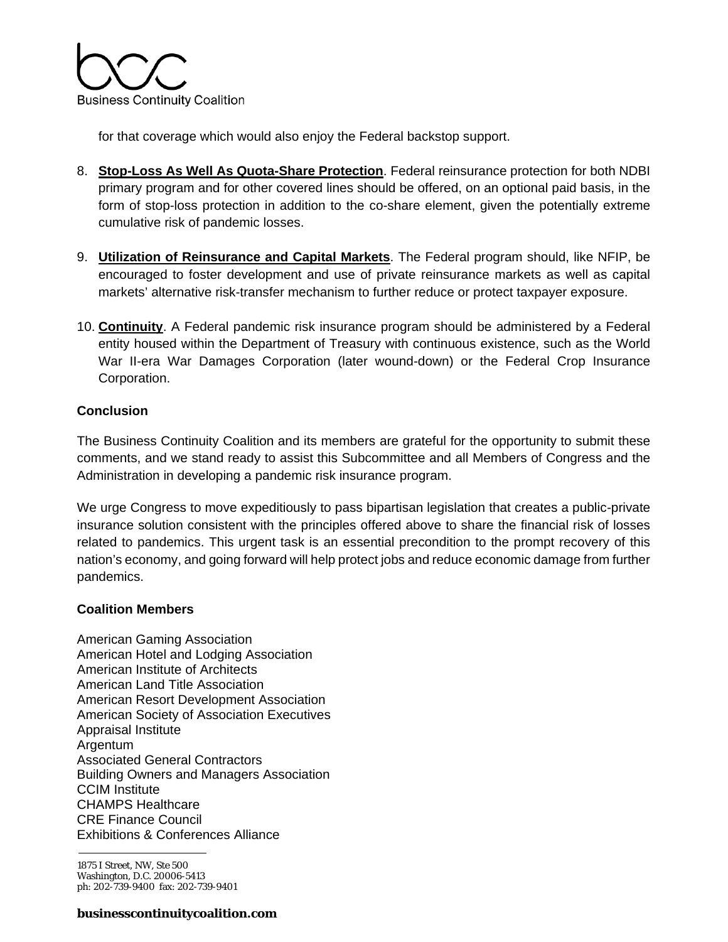

for that coverage which would also enjoy the Federal backstop support.

- 8. **Stop-Loss As Well As Quota-Share Protection**. Federal reinsurance protection for both NDBI primary program and for other covered lines should be offered, on an optional paid basis, in the form of stop-loss protection in addition to the co-share element, given the potentially extreme cumulative risk of pandemic losses.
- 9. **Utilization of Reinsurance and Capital Markets**. The Federal program should, like NFIP, be encouraged to foster development and use of private reinsurance markets as well as capital markets' alternative risk-transfer mechanism to further reduce or protect taxpayer exposure.
- 10. **Continuity**. A Federal pandemic risk insurance program should be administered by a Federal entity housed within the Department of Treasury with continuous existence, such as the World War II-era War Damages Corporation (later wound-down) or the Federal Crop Insurance Corporation.

## **Conclusion**

The Business Continuity Coalition and its members are grateful for the opportunity to submit these comments, and we stand ready to assist this Subcommittee and all Members of Congress and the Administration in developing a pandemic risk insurance program.

We urge Congress to move expeditiously to pass bipartisan legislation that creates a public-private insurance solution consistent with the principles offered above to share the financial risk of losses related to pandemics. This urgent task is an essential precondition to the prompt recovery of this nation's economy, and going forward will help protect jobs and reduce economic damage from further pandemics.

### **Coalition Members**

American Gaming Association American Hotel and Lodging Association American Institute of Architects American Land Title Association American Resort Development Association American Society of Association Executives Appraisal Institute Argentum Associated General Contractors Building Owners and Managers Association CCIM Institute CHAMPS Healthcare CRE Finance Council Exhibitions & Conferences Alliance

1875 I Street, NW, Ste 500 Washington, D.C. 20006-5413 ph: 202-739-9400 fax: 202-739-9401